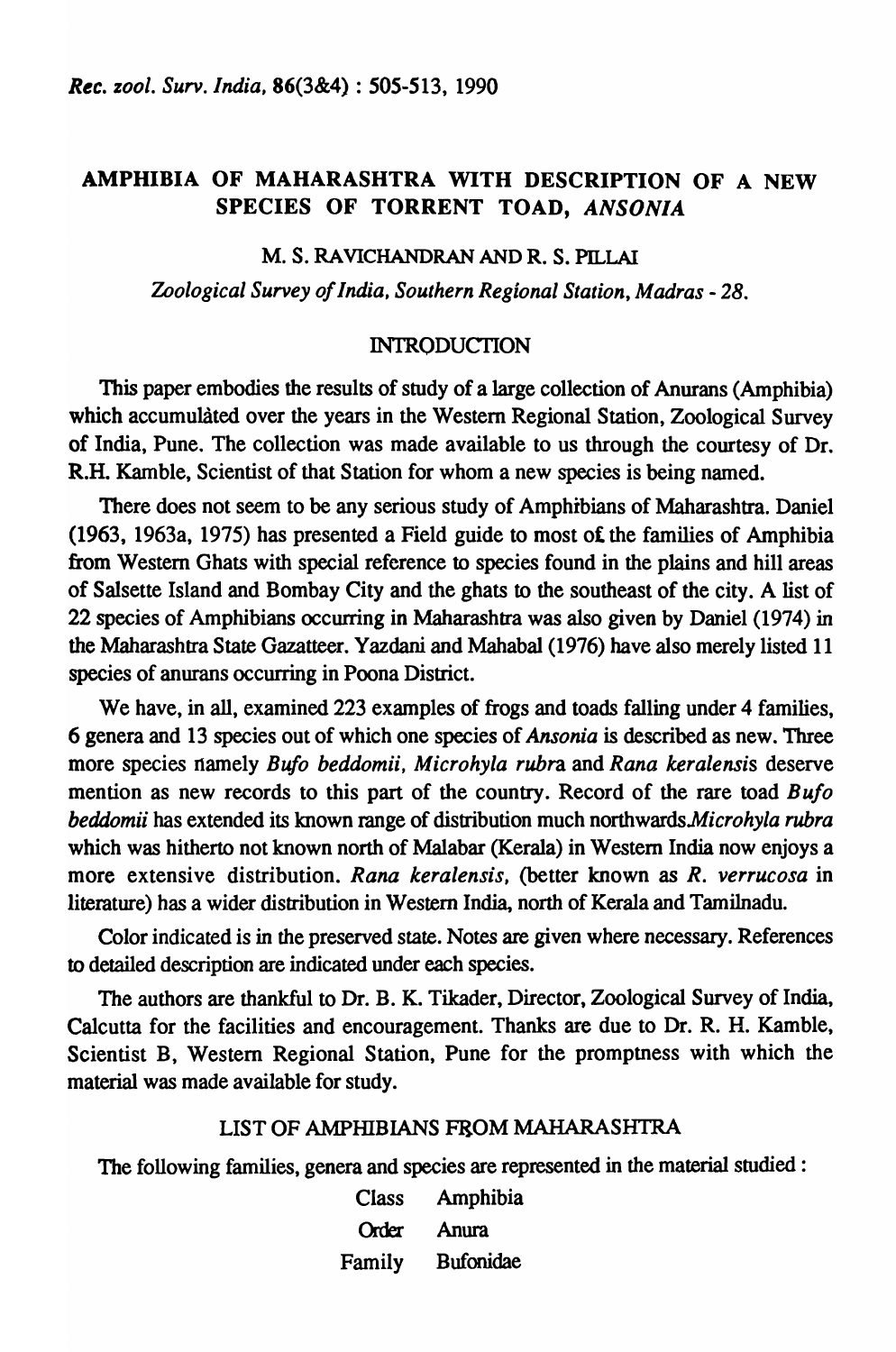## AMPHIBIA OF MAHARASHTRA WITH DESCRIPTION OF A NEW SPECIES OF TORRENT TOAD, *ANSONIA*

#### M. S. RAVICHANDRAN AND R. S. PILLAI

*Zoological Survey of India, Southern Regional Station, Madras* - 28.

#### INTRODUCTION

This paper embodies the results of study of a large collection of Anurans (Amphibia) which accumulated over the years in the Western Regional Station, Zoological Survey of India, Pune. The collection was made available to us through the courtesy of Dr. R.H. Kamble, Scientist of that Station for whom a new species is being named.

There does not seem to be any serious study of Amphibians of Maharashtra. Daniel (1963, 1963a, 1975) has presented a Field guide to most of. the families of Amphibia from Western Ghats with special reference to species found in the plains and hill areas of Salsette Island and Bombay City and the ghats to the southeast of the city. A list of 22 species of Amphibians occurring in Maharashtra was also given by Daniel (1974) in the Maharashtra State Gazatteer. Yazdani and Mahabal (1976) have also merely listed 11 species of anurans occurring in Poona District.

We have, in all, examined 223 examples of frogs and toads falling under 4 families, 6 genera and 13 species out of which one species of *Ansonia* is described as new. Three more species namely *Bufo beddomii, Microhyla rubra* and *Rana keralensis* deserve mention as new records to this part of the country. Record of the rare toad *Bufo beddomii* has extended its known range of distribution much *northwardsMicrohyla rubra*  which was hitherto not known north of Malabar (Kerala) in Western India now enjoys a more extensive distribution. *Rana keralensis,* (better known as *R. verrucosa* in literature) has a wider distribution in Western India, north of Kerala and Tamilnadu.

Color indicated is in the preserved state. Notes are given where necessary. References to detailed description are indicated under each species.

The authors are thankful to Dr. B. K. Tikader, Director, Zoological Survey of India, Calcutta for the facilities and encouragement. Thanks are due to Dr. R. H. Kamble, Scientist B, Western Regional Station, Pune for the promptness with which the material was made available for study.

#### LIST OF AMPHIBIANS FROM MAHARASHTRA

The following families, genera and species are represented in the material studied :

Class Amphibia Order Anum Family Bufonidae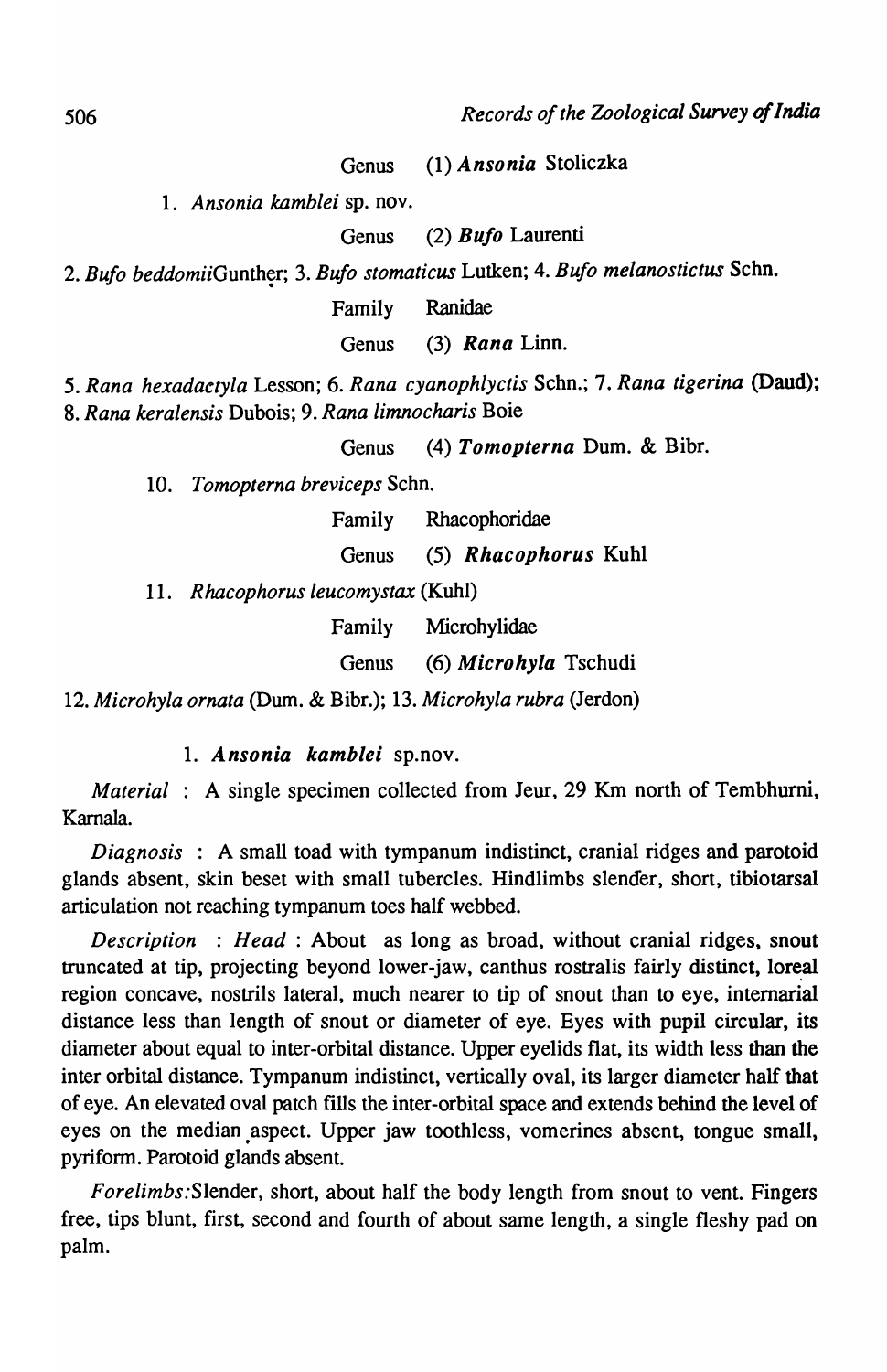Genus (1) *Ansonia* Stoliczka

*1. Ansonia kamblei* sp. nov.

Genus (2) *Bu/o* Laurenti

2. Bufo beddomiiGunther; 3. Bufo stomaticus Lutken; 4. Bufo melanostictus Schn.

Family Ranidae

Genus (3) *Rana* Linn.

*5. Rana hexadaetyla* Lesson; 6. *Rana cyanophlyctis* Scho.; 7. *Rana tigerina* (Dand); *8. Rana keralensis* Dubois; 9. *Rana limnocharis* Boie

Genus (4) *Tomopterna* Dum. & Bibr.

*10. Tomopterna breviceps* Schn.

Family Rbacophoridae

Genus (5) *Rhacophorus* Kuhl

*11. R hacophorus leucomystax* (Kuhl)

Family Microhylidae

Genus (6) *Microhyla* Tschudi

*12. Microhyla ornata* (Dum. & Bibr.); 13. *Microhyla rubra* (Jerdon)

*1. Ansonia kamblei* sp.nov.

*Material* : A single specimen collected from Jeur, 29 Km north of Tembhurni, Kamala.

*Diagnosis* : A small toad with tympanum indistinct, cranial ridges and parotoid glands absent, skin beset with small tubercles. Hindlimbs slender, short, tibiotarsal articulation not reaching tympanum toes half webbed.

*Description* : *Head* : About as long as broad, without cranial ridges, snout truncated at tip, projecting beyond lower-jaw, canthus rostralis fairly distinct, loreal region concave, nostrils lateral, much nearer to tip of snout than to eye, intemarial distance less than length of snout or diameter of eye. Eyes with pupil circular, its diameter about equal to inter-orbital distance. Upper eyelids flat, its width less than the inter orbital distance. Tympanum indistinct, vertically oval, its larger diameter half that of eye. An elevated oval patch fills the inter-orbital space and extends behind the level of eyes on the median aspect. Upper jaw toothless, vomerines absent, tongue small, pyrifonn. Parotoid glands absent.

*Forelimbs:Slender,* short, about half the body length from snout to vent. Fingers free, tips blunt, first, second and fourth of about same length, a single fleshy pad on palm.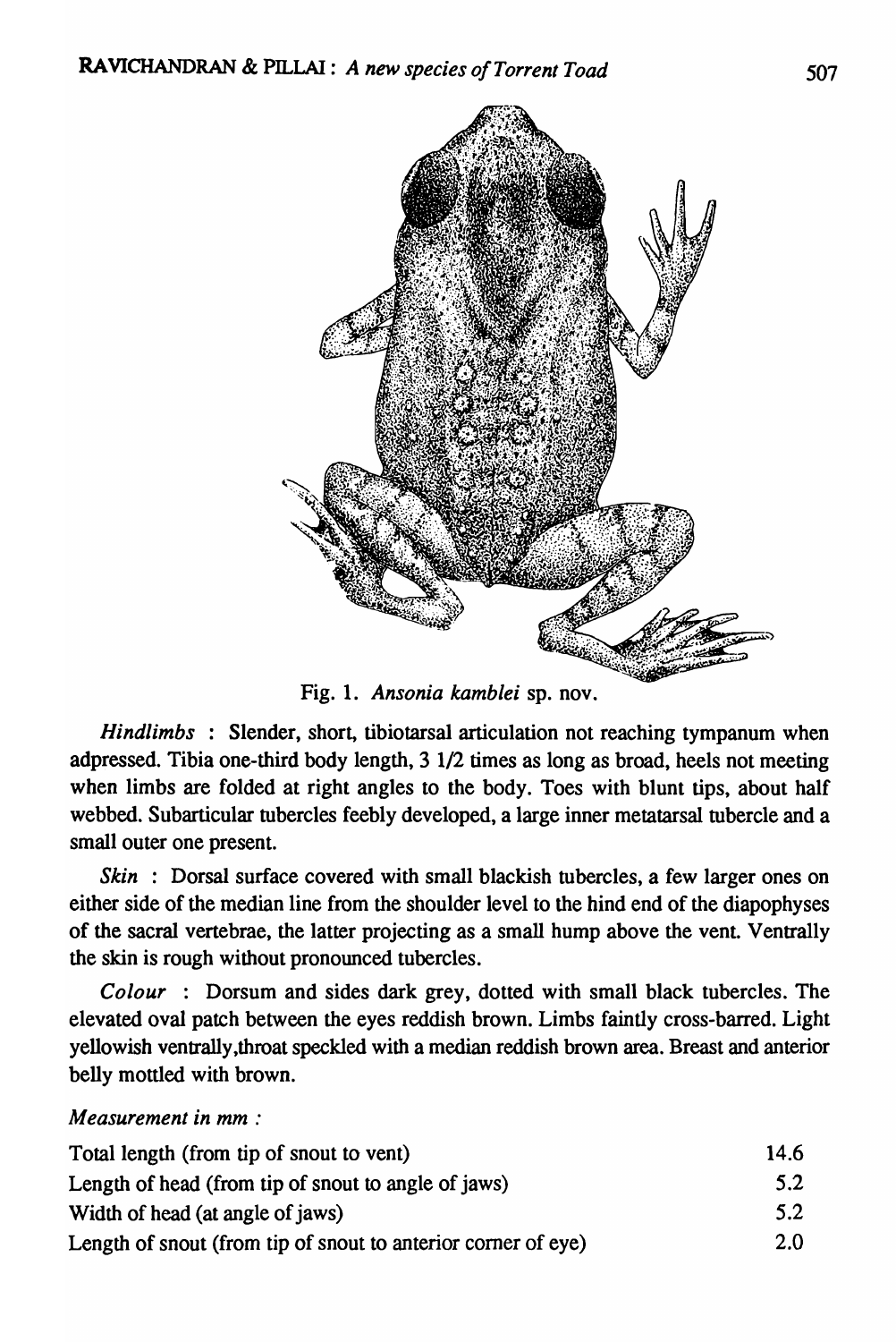

Fig. 1. *Ansonia kamblei* sp. nov.

*Hindlimbs* : Slender, short, tibiotarsal articulation not reaching tympanum when adpressed. Tibia one-third body length, 3 1/2 times as long as broad, heels not meeting when limbs are folded at right angles to the body. Toes with blunt tips, about half webbed. Subarticular tubercles feebly developed, a large inner metatarsal tubercle and a small outer one present.

*Skin* : Dorsal surface covered with small blackish tubercles, a few larger ones on either side of the median line from the shoulder level to the hind end of the diapophyses of the sacral vertebrae, the latter projecting as a small hump above the vent. Venttally the skin is rough without pronounced tubercles.

*Colour* : Dorsum and sides dark grey, dotted with small black tubercles. The elevated oval patch between the eyes reddish brown. Limbs faintly cross-barred. Light yellowish ventrally,throat speckled with a median reddish brown area. Breast and anterior belly mottled with brown.

# *Measurement in mm :*

| Total length (from tip of snout to vent)                      | 14.6 |
|---------------------------------------------------------------|------|
| Length of head (from tip of snout to angle of jaws)           | 5.2  |
| Width of head (at angle of jaws)                              | 5.2  |
| Length of snout (from tip of snout to anterior corner of eye) | 2.0  |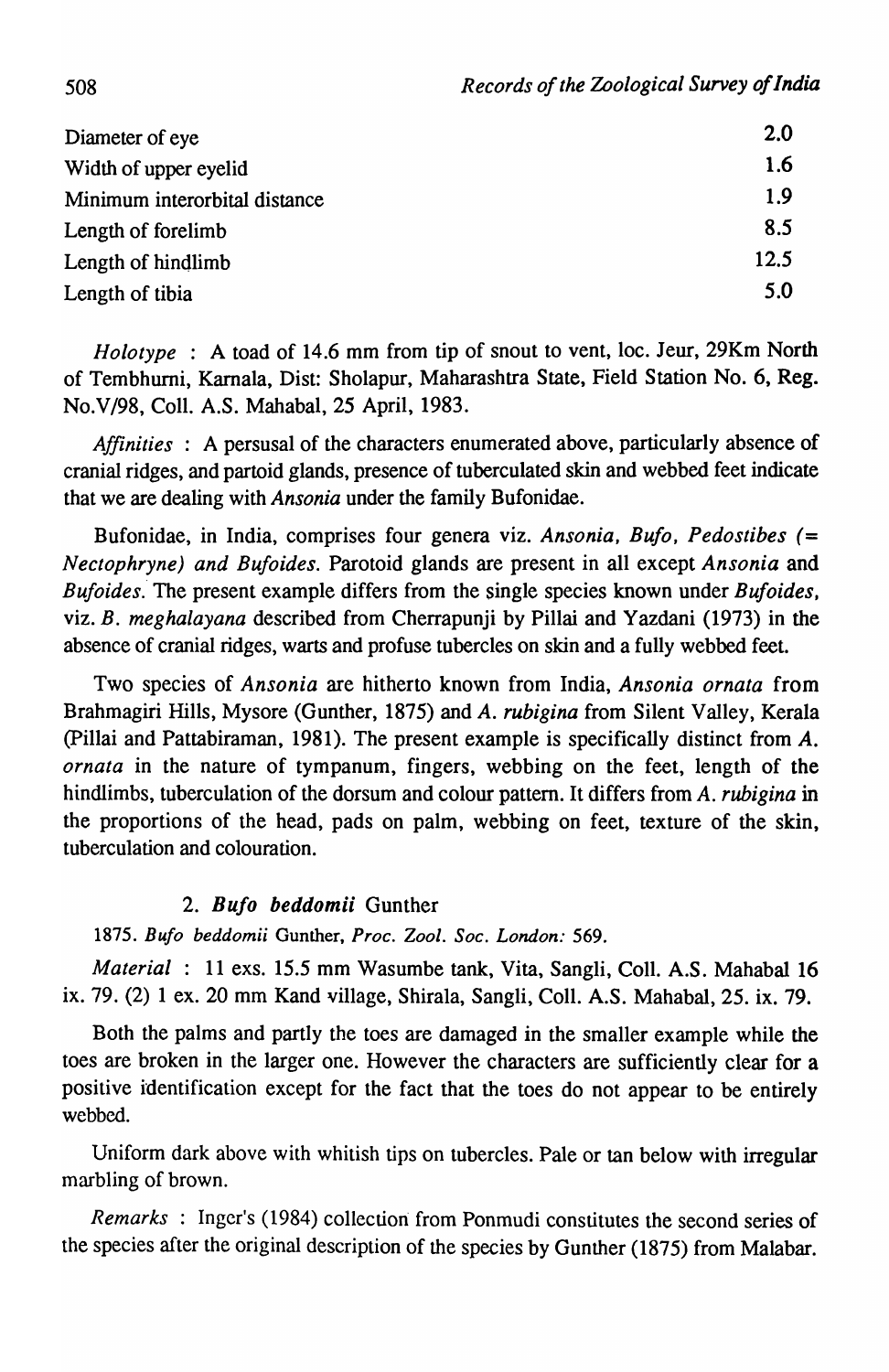| Diameter of eye               | 2.0  |
|-------------------------------|------|
| Width of upper eyelid         | 1.6  |
| Minimum interorbital distance | 1.9  |
| Length of forelimb            | 8.5  |
| Length of hindlimb            | 12.5 |
| Length of tibia               | 5.0  |

*Holotype* : A toad of 14.6 mm from tip of snout to vent, loc. Jeur, 29Km North of Tembhurni, Kamala, Dist: Sholapur, Maharashtra State, Field Station No.6, Reg. No.V/98, ColI. A.S. Mahabal, 25 April, 1983.

*Affinities* : A persusal of the characters enumerated above, particularly absence of cranial ridges, and partoid glands, presence of tuberculated skin and webbed feet indicate that we are dealing with *Ansonia* under the family Bufonidae.

Bufonidae, in India, comprises four genera viz. *Ansonia, Bufo, Pedostibes* (= *Nectophryne) and Bufoides.* Parotoid glands are present in all except *Ansonia* and *Bufoides.* The present example differs from the single species known under *Bufoides*, viz. *B. meghalayana* described from Cherrapunji by Pillai and Yazdani (1973) in the absence of cranial ridges, warts and profuse tubercles on skin and a fully webbed feet.

Two species of *Ansonia* are hitherto known from India, *Ansonia ornata* from Brahmagiri Hills, Mysore (Gunther, 1875) and *A. rubigina* from Silent Valley, Kerala (pillai and Pattabiraman, 1981). The present example is specifically distinct from A. *ornata* in the nature of tympanum, fingers, webbing on the feet, length of the hindlimbs, tuberculation of the dorsum and colour pattern. It differs from *A. rubigina* in the proportions of the head, pads on palm, webbing on feet, texture of the skin, tuberculation and colouration.

## *2. Bufo beddomii* Gunther

*1875. Bufo beddomii* Gunther, *Proc. Zool. Soc. London: 569.* 

*Material* : 11 exs. 15.5 mm Wasumbe tank, Vita, Sangli, CoIl. A.S. Mahabal 16 ix. 79. (2) 1 ex. 20 mm Kand village, Shirala, Sangli, CoIl. A.S. Mahabal, 25. ix. 79.

Both the palms and partly the toes are damaged in the smaller example while the toes are broken in the larger one. However the characters are sufficiently clear for a positive identification except for the fact that the toes do not appear to be entirely webbed.

Uniform dark above with whitish tips on tubercles. Pale or tan below with irregular marbling of brown.

*Remarks* : Inger's (1984) collection from Ponmudi constitutes the second series of the species after the original description of the species by Gunther (1875) from Malabar.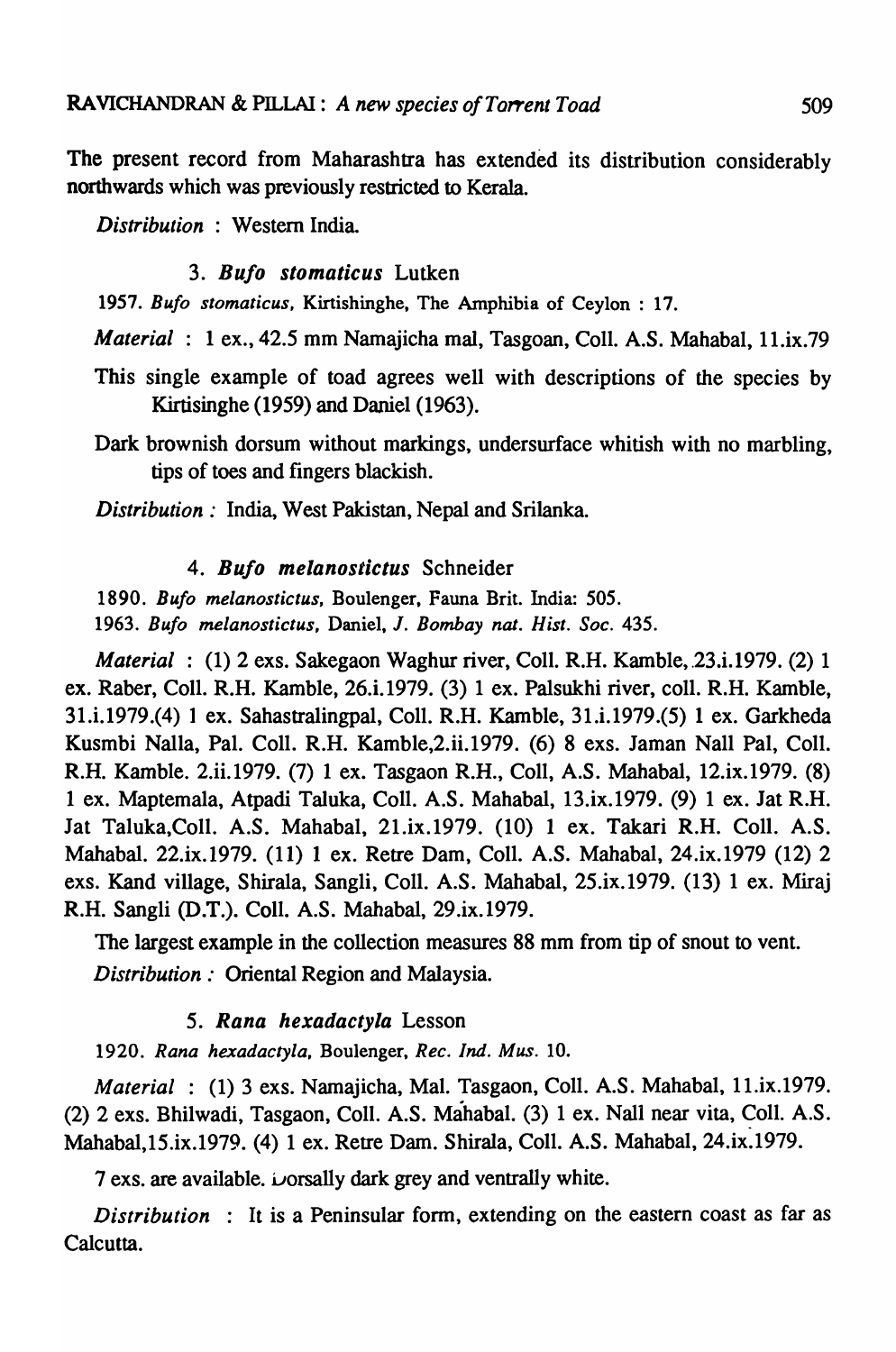The present record from Maharashtra has extended its distribution considerably northwards which was previously restricted to Kerala.

*Distribution* : Western India.

## *3. BuJo stomaticus* Lutken

*1957. Bufo stomaticus,* Kirtishinghe, The Amphibia of Ceylon: 17.

*Material* : 1 ex., 42.5 mm Namajicha mal, Tasgoan, Coll. A.S. Mahabal, 11.ix.79

- This single example of toad agrees well with descriptions of the species by Kirtisinghe (1959) and Daniel (1963).
- Dark brownish dorsum without markings, undersurface whitish with no marbling, tips of toes and fingers blackish.

*Distribution:* India, West Pakistan, Nepal and Srilanka.

## *4. BuJo melanostictus* Schneider

*1890. Bufo melanostictus,* Boulenger, Fauna Brit. India: 505. *1963. Bufo melanostictus,* Daniel, J. *Bombay nat. Hist. Soc. 435.* 

*Material* : (1) 2 exs. Sakegaon Waghur river, Coll. R.H. Kamble, 23.i.1979. (2) 1 ex. Raber, CoIl. R.H. Kamble, 26.i.1979. (3) I ex. Palsukhi river, coIl. R.H. Kamble, 31.i.1979.(4) 1 ex. Sahastralingpal, Coli. R.H. Kamble, 31.i.1979.(S) I ex. Garkheda Kusmbi Nalla, Pal. CoIl. R.H. Kamble,2.ii.1979. (6) 8 exs. Jaman Nail Pal, CoIl. R.H. Kamble. 2.ii.1979. (7) I ex. Tasgaon R.H., Coli, A.S. Mahabal, 12.ix.1979. (8) 1 ex. Maptemala, Atpadi Taluka, CoIl. A.S. Mahabal, I3.ix.I979. (9) I ex. Jat R.H. Jat Taluka,Coll. A.S. Mahabal, 2I.ix.I979. (10) 1 ex. Takari R.H. ColI. A.S. Mahabal. 22.ix.I979. (II) I ex. Retre Dam, CoIl. A.S. Mahabal, 24.ix.I979 (12) 2 exs. Kand village, Shirala, Sangli, Coli. A.S. Mahabal, 25.ix.1979. (13) 1 ex. Miraj R.H. Sangli (D.T.). CoIl. A.S. Mahabal, 29.ix.I979.

The largest example in the collection measures 88 mm from tip of snout to vent. *Distribution:* Oriental Region and Malaysia.

## *5. Rana hexadactyla* Lesson

*1920. Rana hexadactyla,* Boulenger, *Rec. Ind. Mus. 10.* 

*Material* : (I) 3 exs. Namajicha, Mal. Tasgaon, Coli. A.S. Mahabal, ll.ix.1979.  $(2)$  2 exs. Bhilwadi, Tasgaon, Coll. A.S. Mahabal.  $(3)$  1 ex. Nall near vita, Coll. A.S. Mahabal,IS.ix.1979. (4) 1 ex. Retre Dam. Shirala, ColI. A.S. Mahabal, 24.ix.1979.

7 exs. are available.  $\omega$ orsally dark grey and ventrally white.

*Distribution* : It is a Peninsular form, extending on the eastern coast as far as Calcutta.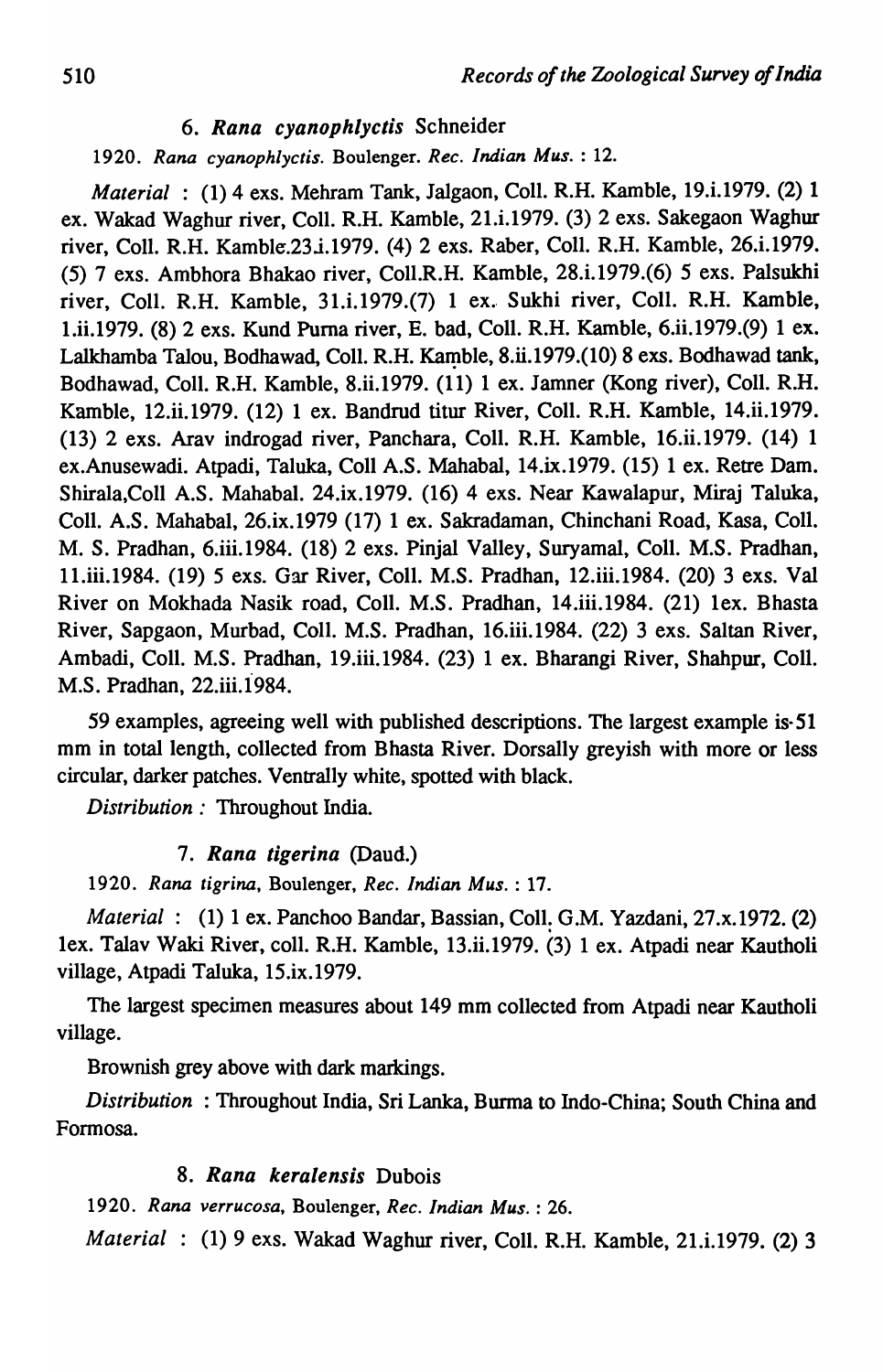## *6. Rana cyanophlyctis* Schneider

*1920. Rana cyanophlyctis.* Boulenger. *Rec. Indian Mus.* : 12.

*Material* : (1) 4 exs. Mehram Tank, Jalgaon, Coll. R.H. Kamble, 19.i.1979. (2) 1 ex. Wakad Waghur river, Coll. R.H. Kamble, 21.i.1979. (3) 2 exs. Sakegaon Waghur river, Coll. R.H. Kamble.23.i.1979. (4) 2 exs. Raber, Coll. R.H. Kamble, 26.i.1979. (5) 7 exs. Ambhora Bhakao river, Coll.R.H. Kamble, 28.i.I979.(6) 5 exs. Palsukhi river, ColI. R.H. Kamble, 3I.i.I979.(7) 1 ex.- Sukhi river, ColI. R.H. Kamble, I.ii.I979. (8) 2 exs. Kund Puma river, E. bad, Call. R.H. Kamble, 6.ii.I979.(9) 1 ex. Lalkhamba Talou, Bodhawad, Coll. R.H. Kamble, 8.ii.1979.(10) 8 exs. Bodhawad tank, Bodhawad, Call. R.H. Kamble, 8.ii.I979. (II) 1 ex. Jamner (Kong river), Call. R.H. Kamble, 12.ii.I979. (I2) 1 ex. Bandrud titur River, ColI. R.H. Kamble, 14.ii.1979. (I3) 2 exs. Arav indrogad river, Panchara, Call. R.H. Kamble, 16.ii.1979. (14) 1 ex.Anusewadi. Atpadi, Taluka, ColI A.S. Mahabal, 14.ix.I979. (I5) 1 ex. Retre Dam. Shirala,Coll A.S. Mahabal. 24.ix.I979. (I6) 4 exs. Near Kawalapur, Miraj Taluka, ColI. A.S. Mahabal, 26.ix.I979 (17) 1 ex. Sakradaman, Chinchani Road, Kasa, CoIl. M. S. Pradhan, 6.iii.I984. (I8) 2 exs. Pinjal Valley, Suryamal, CoIl. M.S. Pradhan, lI.iii.I984. (I9) 5 exs. Gar River, ColI. M.S. Pradhan, 12.iii.I984. (20) 3 exs. Val River on Mokhada Nasik road, ColI. M.S. Pradhan, 14.iii.I984. (2I) lex. Bhasta River, Sapgaon, Murbad, ColI. M.S. Pradhan, 16.iii.I984. (22) 3 exs. Saltan River, Ambadi, ColI. M.S. Pradhan, 19.iii.I984. (23) 1 ex. Bharangi River, Shahpur, Call. M.S. Pradhan, 22.iii.I984.

59 examples, agreeing well with published descriptions. The largest example is· 51 mm in total length, collected from Bhasta River. Dorsally greyish with more or less circular, darker patches. Ventrally white, spotted with black.

*Distribution:* Throughout India.

## *7. Rana tigerina* (Daud.)

*1920. Rana tigrina,* Boulenger, *Rec. Indian Mus.* : 17.

*Material:* (I) 1 ex. Panchoo Bandar, Bassian, CoIl: G.M. Yazdani, 27.x.1972. (2) lex. Talav Waki River, call. R.H. Kamble, 13.ii.1979. (3) 1 ex. Atpadi near Kautholi village, Atpadi Taluka, 15.ix.1979.

The largest specimen measures about 149 mm collected from Atpadi near Kautholi village.

Brownish grey above with dark markings.

*Distribution* : Throughout India, Sri Lanka, Burma to Indo-China; South China and Formosa.

## *8. Rana keralensis* Dubois

*1920. Rana verrucosa,* Boulenger, *Rec. Indian Mus.* : 26.

*Material* : (I) 9 exs. Wakad Waghur river, ColI. R.H. Kamble, 21.i.1979. (2) 3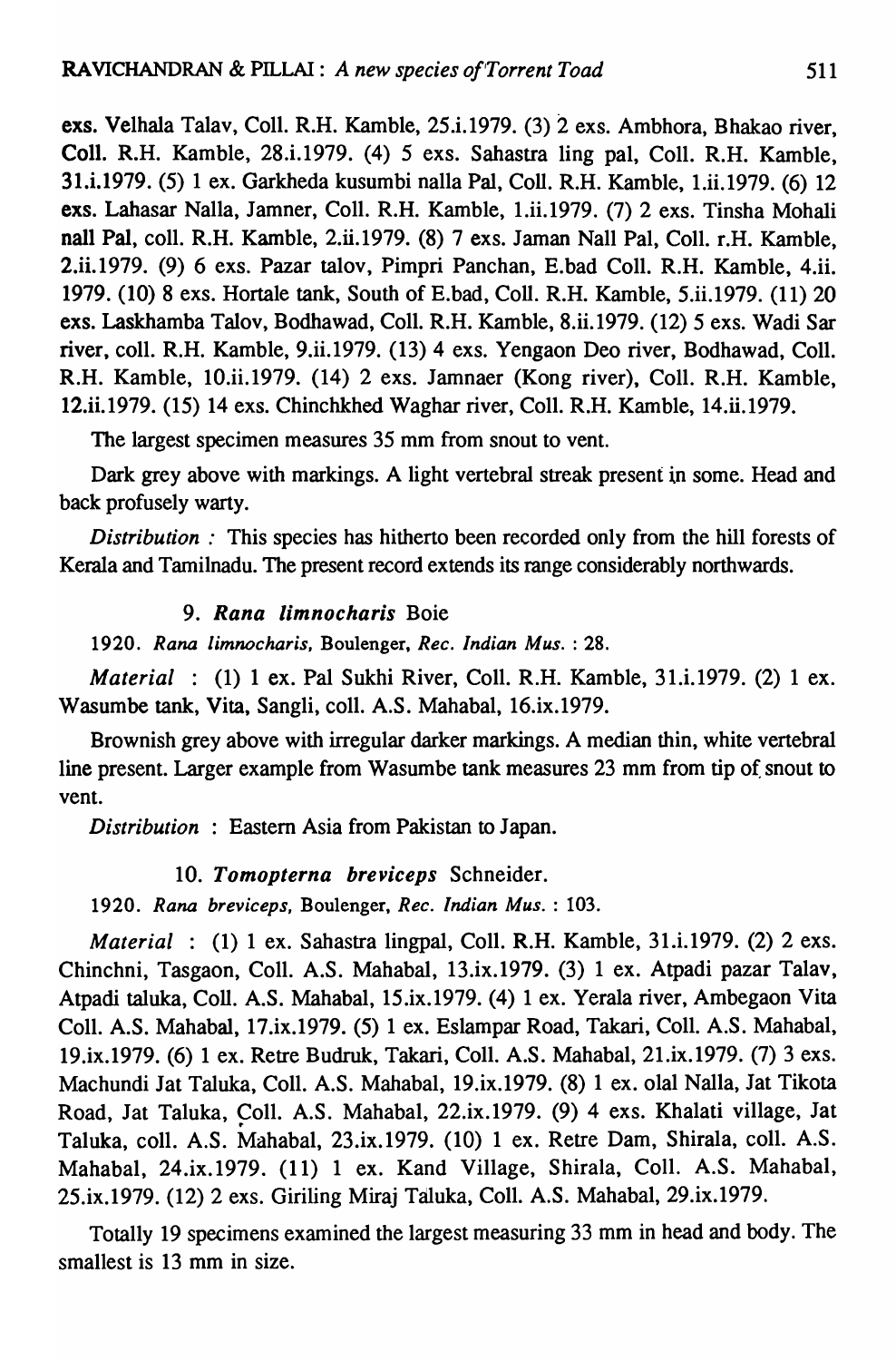exs. Velhala Talav, Coli. R.H. Kamble, 25.i.1979. (3) 2 exs. Ambhora, Bhakao river, Coll. R.H. Kamble, 28.i.1979. (4) 5 exs. Sahastra ling pal, Coli. R.H. Kamble, 31.i.1979. (5) I ex. Garkheda kusumbi nalla Pal, CoIl. R.H. Kamble, 1.ii.1979. (6) 12 exs. Lahasar Nalla, Jamner, Coli. R.H. Kamble, 1.ii.I979. (7) 2 exs. Tinsha Mohali naIl PaI, coli. R.H. Kamble, 2.ii.I979. (8) 7 exs. Jaman Nail Pal, Coli. r.H. Kamble, 2.ii.I979. (9) 6 exs. Pazar talov, Pimpri Panchan, E.bad ColI. R.H. Kamble, 4.ii. 1979. (10) 8 exs. Hortale tank, South of E.bad, CoIl. R.H. Kamble, 5.ii.I979. (II) 20 exs. Laskhamba Talov, Bodhawad, ColI. R.H. Kamble, 8.ii.I979. (12) 5 exs. Wadi Sar river, coll. R.H. Kamble, 9.ii.1979. (13) 4 exs. Yengaon Deo river, Bodhawad, Coll. R.H. Kamble, IO.ii.I979. (14) 2 exs. Jamnaer (Kong river), ColI. R.H. Kamble, 12.ii.1979. (15) 14 exs. Chinchkhed Waghar river, Coli. R.H. Kamble, 14.ii.I979.

The largest specimen measures 35 mm from snout to vent.

Dark grey above with markings. A light vertebral streak present in some. Head and back profusely warty.

*Distribution*: This species has hitherto been recorded only from the hill forests of Kerala and Tamilnadu. The present record extends its range considerably northwards.

## *9. Rana limnocharis* Boie

*1920. Rana limnocharis,* Boulenger, *Rec. Indian Mus.* : 28.

*Material* : (1) 1 ex. Pal Sukhi River, ColI. R.H. Kamble, 31.i.1979. (2) 1 ex. Wasumbe tank, Vita, Sangli, colI. A.S. Mahabal, I6.ix.I979.

Brownish grey above with irregular darker markings. A median thin, white vertebral line present. Larger example from Wasumbe tank measures 23 mm from tip of snout to vent.

*Distribution* : Eastern Asia from Pakistan to Japan.

## *10. Tomopterna breviceps* Schneider.

*1920. Rana breviceps,* Boulenger, *Rec. Indian Mus.* : 103.

*Material* : (1) 1 ex. Sahastra lingpal, Coll. R.H. Kamble, 3I.i.I979. (2) 2 exs. Chinchni, Tasgaon, Coli. A.S. Mahabal, 13.ix.1979. (3) 1 ex. Atpadi pazar Talav, Atpadi taluka, CoIl. A.S. Mahabal, 15.ix.1979. (4) 1 ex. Yerala river, Ambegaon Vita Coll. A.S. Mahabal, 17.ix.1979. (5) 1 ex. Eslampar Road, Takari, ColI. A.S. Mahabal, I9.ix.1979. (6) 1 ex. Retre Budruk, Takari, ColI. A.S. Mahabal, 2I.ix.I979. (7) 3 exs. Machundi Jat Taluka, ColI. A.S. Mahabal, 19.ix.1979. (8) 1 ex. olal Nalla, Jat Tikota Road, Jat Taluka, Coll. A.S. Mahabal, 22.ix.1979. (9) 4 exs. Khalati village, Jat Taluka, colI. A.S. Mahabal, 23.ix.1979. (10) 1 ex. Retre Dam, Shirala, colI. A.S. Mahabal, 24.ix.I979. (11) 1 ex. Kand Village, Shirala, ColI. A.S. Mahabal, 25.ix.1979. (12) 2 exs. Giriling Miraj Taluka, Coli. A.S. Mahabal, 29.ix.1979.

Totally 19 specimens examined the largest measuring 33 mm in head and body. The smallest is 13 mm in size.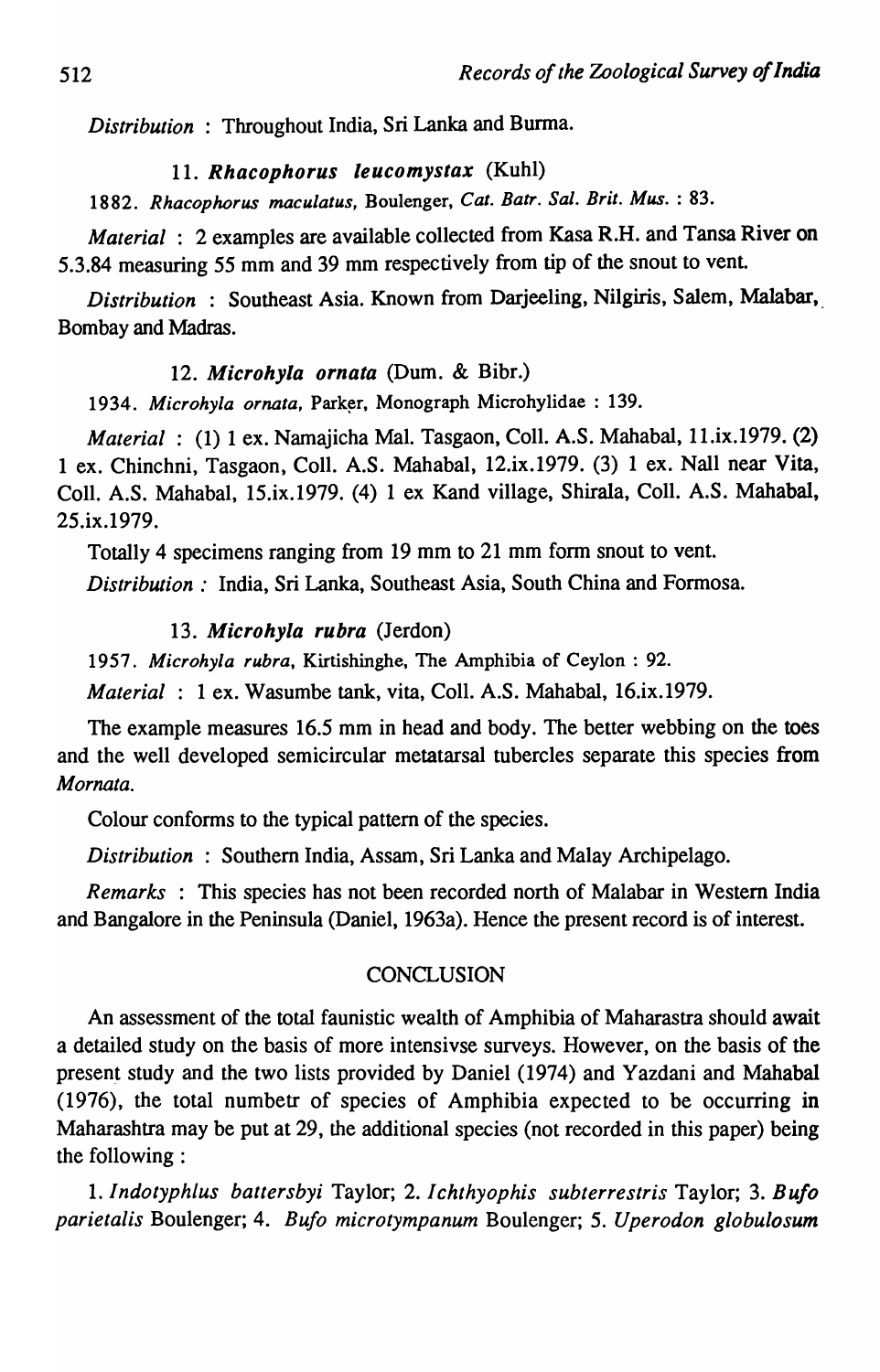*Distribution:* Throughout India, Sri Lanka and Burma.

## *11. Rhacophorus leucomystax* (Kuhl)

*1882. Rhacophorus maculatus,* Boulenger, *Cat. Batr. Sal. Brit. Mus.* : 83.

*Material* : 2 examples are available collected from Kasa R.H. and Tansa River on 5.3.84 measuring 55 mm and 39 mm respectively from tip of the snout to vent.

*Distribution* : Southeast Asia. Known from Darjeeling, Nilgiris, Salem, Malabar,\_ Bombay and Madras.

## *12. Microhyla ornata* (Dum. & Bibr.)

1934. Microhyla ornata, Parker, Monograph Microhylidae : 139.

*Material*: (1) 1 ex. Namajicha Mal. Tasgaon, Coll. A.S. Mahabal, 11.ix.1979. (2) 1 ex. Chinchni, Tasgaon, ColI. A.S. Mahabal, 12.ix.1979. (3) 1 ex. Nall near Vita, ColI. A.S. Mahabal, 15.ix.1979. (4) 1 ex Kand village, Shirala, ColI. A.S. Mahabal, 25.ix.1979.

Totally 4 specimens ranging from 19 mm to 21 mm form snout to vent.

*Distribution:* India, Sri Lanka, Southeast Asia, South China and Formosa.

## *13. Microhyla rubra* (Jerdon)

*1957. Microhyla rubra,* Kirtishinghe, The Amphibia of Ceylon : 92.

*Material* : 1 ex. Wasumbe tank, vita, ColI. A.S. Mahabal, 16.ix.1979.

The example measures 16.5 mm in head and body. The better webbing on the toes and the well developed semicircular metatarsal tubercles separate this species from *Mornata.* 

Colour conforms to the typical pattern of the species.

*Distribution* : Southern India, Assam, Sri Lanka and Malay Archipelago.

*Remarks* : This species has not been recorded north of Malabar in Western India and Bangalore in the Peninsula (Daniel, 1963a). Hence the present record is of interest.

## **CONCLUSION**

An assessment of the total faunistic wealth of Amphibia of Maharastra should await a detailed study on the basis of more intensivse surveys. However, on the basis of the present study and the two lists provided by Daniel (1974) and Yazdani and Mahabal (1976), the total numbetr of species of Amphibia expected to be occurring in Maharashtra may be put at 29, the additional species (not recorded in this paper) being the following:

I. *IndotyphLus battersbyi* Taylor; 2. *Ichthyophis subterrestris* Taylor; 3. *Bufo parietalis* Boulenger; 4. *Bufo microtympanum* Boulenger; 5. *Uperodon globulosum*